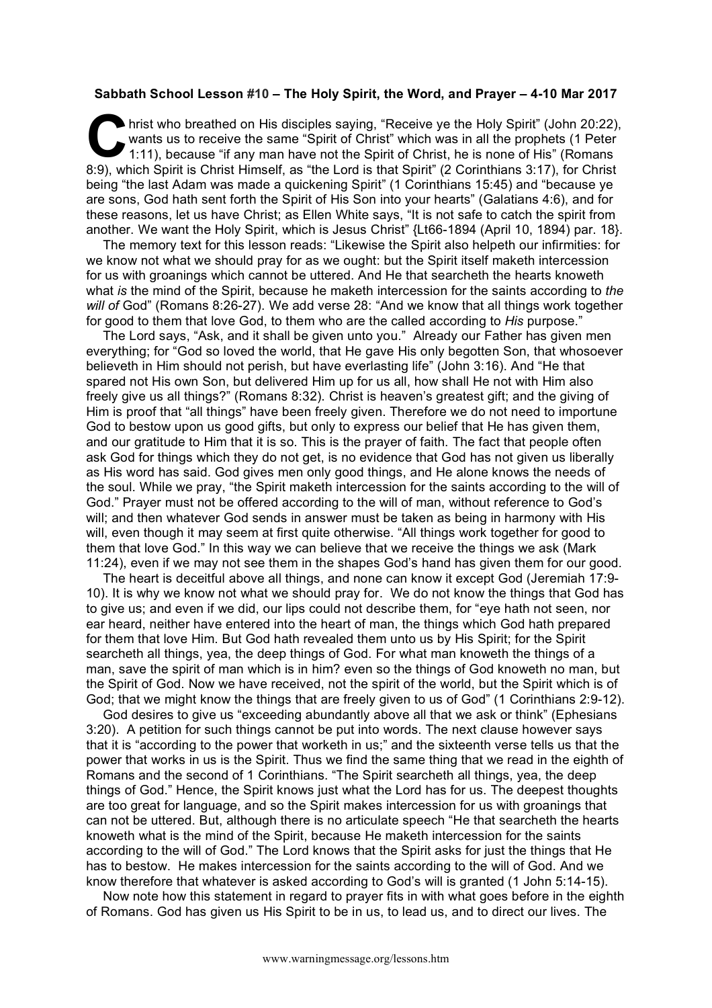## **Sabbath School Lesson #10 – The Holy Spirit, the Word, and Prayer – 4-10 Mar 2017**

hrist who breathed on His disciples saying, "Receive ye the Holy Spirit" (John 20:22), wants us to receive the same "Spirit of Christ" which was in all the prophets (1 Peter 1:11), because "if any man have not the Spirit of Christ, he is none of His" (Romans 8:9), which Spirit is Christ Himself, as "the Lord is that Spirit" (2 Corinthians 3:17), for Christ being "the last Adam was made a quickening Spirit" (1 Corinthians 15:45) and "because ye are sons, God hath sent forth the Spirit of His Son into your hearts" (Galatians 4:6), and for these reasons, let us have Christ; as Ellen White says, "It is not safe to catch the spirit from another. We want the Holy Spirit, which is Jesus Christ" {Lt66-1894 (April 10, 1894) par. 18}.  $\sum_{\substack{\text{wa}\n\text{min}}}$ 

The memory text for this lesson reads: "Likewise the Spirit also helpeth our infirmities: for we know not what we should pray for as we ought: but the Spirit itself maketh intercession for us with groanings which cannot be uttered. And He that searcheth the hearts knoweth what *is* the mind of the Spirit, because he maketh intercession for the saints according to *the will of* God" (Romans 8:26-27). We add verse 28: "And we know that all things work together for good to them that love God, to them who are the called according to *His* purpose."

The Lord says, "Ask, and it shall be given unto you." Already our Father has given men everything; for "God so loved the world, that He gave His only begotten Son, that whosoever believeth in Him should not perish, but have everlasting life" (John 3:16). And "He that spared not His own Son, but delivered Him up for us all, how shall He not with Him also freely give us all things?" (Romans 8:32). Christ is heaven's greatest gift; and the giving of Him is proof that "all things" have been freely given. Therefore we do not need to importune God to bestow upon us good gifts, but only to express our belief that He has given them, and our gratitude to Him that it is so. This is the prayer of faith. The fact that people often ask God for things which they do not get, is no evidence that God has not given us liberally as His word has said. God gives men only good things, and He alone knows the needs of the soul. While we pray, "the Spirit maketh intercession for the saints according to the will of God." Prayer must not be offered according to the will of man, without reference to God's will; and then whatever God sends in answer must be taken as being in harmony with His will, even though it may seem at first quite otherwise. "All things work together for good to them that love God." In this way we can believe that we receive the things we ask (Mark 11:24), even if we may not see them in the shapes God's hand has given them for our good.

The heart is deceitful above all things, and none can know it except God (Jeremiah 17:9- 10). It is why we know not what we should pray for. We do not know the things that God has to give us; and even if we did, our lips could not describe them, for "eye hath not seen, nor ear heard, neither have entered into the heart of man, the things which God hath prepared for them that love Him. But God hath revealed them unto us by His Spirit; for the Spirit searcheth all things, yea, the deep things of God. For what man knoweth the things of a man, save the spirit of man which is in him? even so the things of God knoweth no man, but the Spirit of God. Now we have received, not the spirit of the world, but the Spirit which is of God; that we might know the things that are freely given to us of God" (1 Corinthians 2:9-12).

God desires to give us "exceeding abundantly above all that we ask or think" (Ephesians 3:20). A petition for such things cannot be put into words. The next clause however says that it is "according to the power that worketh in us;" and the sixteenth verse tells us that the power that works in us is the Spirit. Thus we find the same thing that we read in the eighth of Romans and the second of 1 Corinthians. "The Spirit searcheth all things, yea, the deep things of God." Hence, the Spirit knows just what the Lord has for us. The deepest thoughts are too great for language, and so the Spirit makes intercession for us with groanings that can not be uttered. But, although there is no articulate speech "He that searcheth the hearts knoweth what is the mind of the Spirit, because He maketh intercession for the saints according to the will of God." The Lord knows that the Spirit asks for just the things that He has to bestow. He makes intercession for the saints according to the will of God. And we know therefore that whatever is asked according to God's will is granted (1 John 5:14-15).

Now note how this statement in regard to prayer fits in with what goes before in the eighth of Romans. God has given us His Spirit to be in us, to lead us, and to direct our lives. The